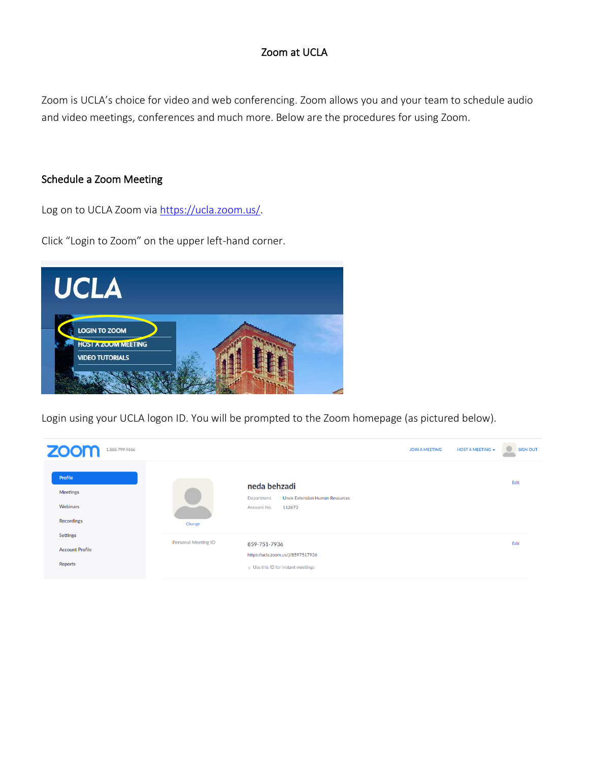## Zoom at UCLA

Zoom is UCLA's choice for video and web conferencing. Zoom allows you and your team to schedule audio and video meetings, conferences and much more. Below are the procedures for using Zoom.

## Schedule a Zoom Meeting

Log on to UCLA Zoom via [https://ucla.zoom.us/.](https://ucla.zoom.us/)

Click "Login to Zoom" on the upper left-hand corner.



Login using your UCLA logon ID. You will be prompted to the Zoom homepage (as pictured below).

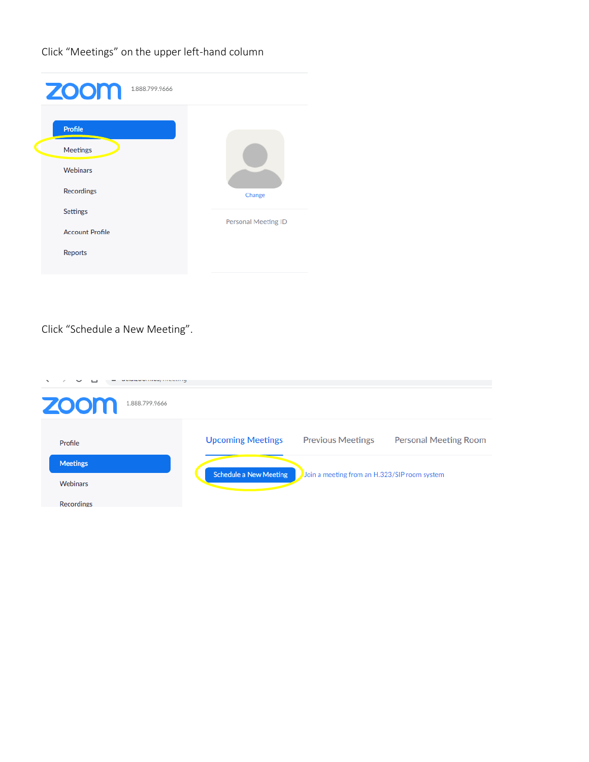Click "Meetings" on the upper left-hand column

| ZOOM 1.888.799.9666                       |  |  |                     |
|-------------------------------------------|--|--|---------------------|
| <b>Profile</b>                            |  |  |                     |
| Meetings<br><b>Webinars</b>               |  |  |                     |
| <b>Recordings</b>                         |  |  | Change              |
| <b>Settings</b><br><b>Account Profile</b> |  |  | Personal Meeting ID |
| Reports                                   |  |  |                     |

Click "Schedule a New Meeting".

| <b>ZOOM</b><br>1.888.799.9666 |                               |                                              |                              |  |
|-------------------------------|-------------------------------|----------------------------------------------|------------------------------|--|
| Profile                       | <b>Upcoming Meetings</b>      | <b>Previous Meetings</b>                     | <b>Personal Meeting Room</b> |  |
| <b>Meetings</b>               |                               |                                              |                              |  |
| <b>Webinars</b>               | <b>Schedule a New Meeting</b> | Join a meeting from an H.323/SIP room system |                              |  |
| <b>Recordings</b>             |                               |                                              |                              |  |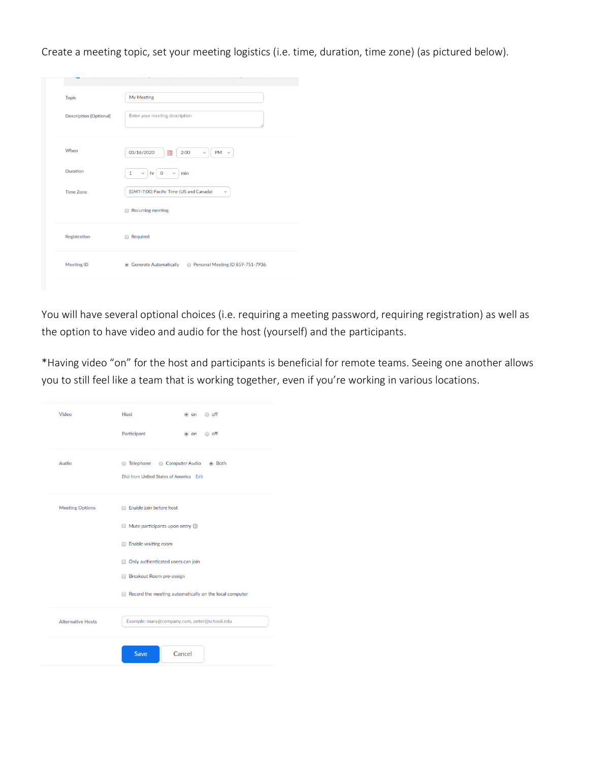Create a meeting topic, set your meeting logistics (i.e. time, duration, time zone) (as pictured below).

| <b>Topic</b>                  | My Meeting                                                          |
|-------------------------------|---------------------------------------------------------------------|
| <b>Description (Optional)</b> | Enter your meeting description                                      |
| When                          | 03/16/2020<br>2:00<br>$PM \sim$<br>I<br>v                           |
| Duration                      | $\circ$<br>$\mathbf 1$<br>min<br>hr<br>$\checkmark$                 |
| <b>Time Zone</b>              | (GMT-7:00) Pacific Time (US and Canada)<br>v                        |
|                               | <b>Recurring meeting</b><br>⋒.                                      |
| Registration                  | Required                                                            |
| <b>Meeting ID</b>             | Personal Meeting ID 859-751-7936<br><b>C</b> Generate Automatically |

You will have several optional choices (i.e. requiring a meeting password, requiring registration) as well as the option to have video and audio for the host (yourself) and the participants.

\*Having video "on" for the host and participants is beneficial for remote teams. Seeing one another allows you to still feel like a team that is working together, even if you're working in various locations.

| Video                    | Host                                                              | ∩ off<br>$\bullet$ on                                               |  |  |  |  |  |
|--------------------------|-------------------------------------------------------------------|---------------------------------------------------------------------|--|--|--|--|--|
|                          | Participant                                                       | ○ off<br>$\circ$ on                                                 |  |  |  |  |  |
| Audio                    | ◯ Telephone                                                       | Computer Audio<br>◉ Both<br>Dial from United States of America Edit |  |  |  |  |  |
| <b>Meeting Options</b>   | Enable join before host                                           |                                                                     |  |  |  |  |  |
|                          | $\Box$ Mute participants upon entry $\Box$<br>Enable waiting room |                                                                     |  |  |  |  |  |
|                          | Only authenticated users can join                                 |                                                                     |  |  |  |  |  |
|                          | <b>Breakout Room pre-assign</b>                                   |                                                                     |  |  |  |  |  |
|                          | Record the meeting automatically on the local computer            |                                                                     |  |  |  |  |  |
| <b>Alternative Hosts</b> | Example: mary@company.com, peter@school.edu                       |                                                                     |  |  |  |  |  |
|                          | Save                                                              | Cancel                                                              |  |  |  |  |  |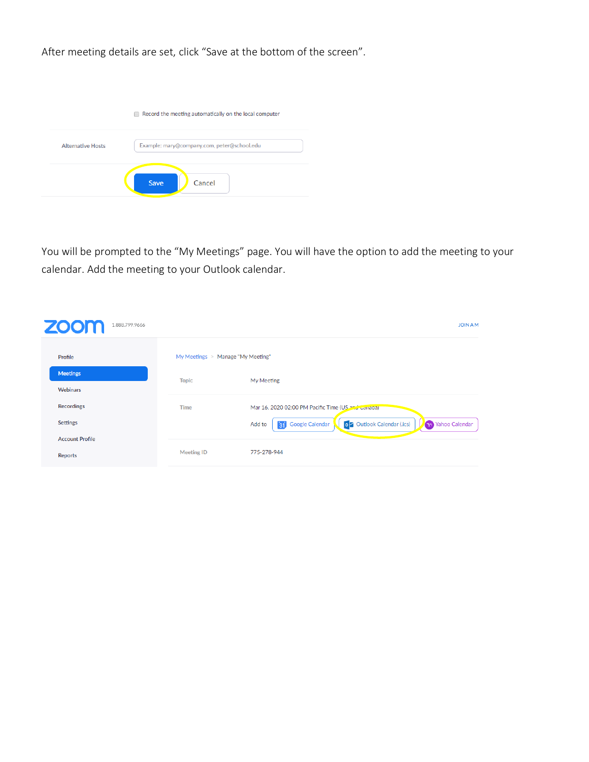After meeting details are set, click "Save at the bottom of the screen".

|                          | Record the meeting automatically on the local computer |
|--------------------------|--------------------------------------------------------|
| <b>Alternative Hosts</b> | Example: mary@company.com, peter@school.edu            |
|                          | Save<br>Cancel                                         |

You will be prompted to the "My Meetings" page. You will have the option to add the meeting to your calendar. Add the meeting to your Outlook calendar.

| <b>ZOOM</b><br>1.888.799.9666                                                  |                                                           | <b>JOIN AM</b>                                                                                                                                                       |
|--------------------------------------------------------------------------------|-----------------------------------------------------------|----------------------------------------------------------------------------------------------------------------------------------------------------------------------|
| Profile<br><b>Meetings</b><br>Webinars<br><b>Recordings</b><br><b>Settings</b> | My Meetings > Manage "My Meeting"<br><b>Topic</b><br>Time | My Meeting<br>Mar 16, 2020 02:00 PM Pacific Time (US and Canada)<br><b>Yahoo Calendar</b><br><b>Google Calendar</b><br>o Z Outlook Calendar (.ics)<br>Add to<br>i31. |
| <b>Account Profile</b><br>Reports                                              | <b>Meeting ID</b>                                         | 775-278-944                                                                                                                                                          |